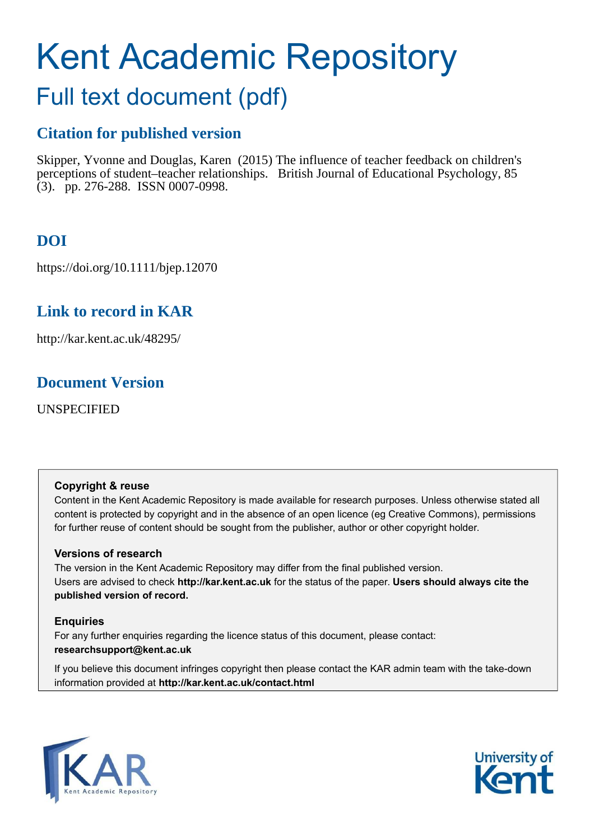# Kent Academic Repository

## Full text document (pdf)

## **Citation for published version**

Skipper, Yvonne and Douglas, Karen (2015) The influence of teacher feedback on children's perceptions of student–teacher relationships. British Journal of Educational Psychology, 85  $(3)$ . pp. 276-288. ISSN 0007-0998.

## **DOI**

https://doi.org/10.1111/bjep.12070

## **Link to record in KAR**

http://kar.kent.ac.uk/48295/

### **Document Version**

UNSPECIFIED

#### **Copyright & reuse**

Content in the Kent Academic Repository is made available for research purposes. Unless otherwise stated all content is protected by copyright and in the absence of an open licence (eg Creative Commons), permissions for further reuse of content should be sought from the publisher, author or other copyright holder.

#### **Versions of research**

The version in the Kent Academic Repository may differ from the final published version. Users are advised to check **http://kar.kent.ac.uk** for the status of the paper. **Users should always cite the published version of record.**

#### **Enquiries**

For any further enquiries regarding the licence status of this document, please contact: **researchsupport@kent.ac.uk**

If you believe this document infringes copyright then please contact the KAR admin team with the take-down information provided at **http://kar.kent.ac.uk/contact.html**



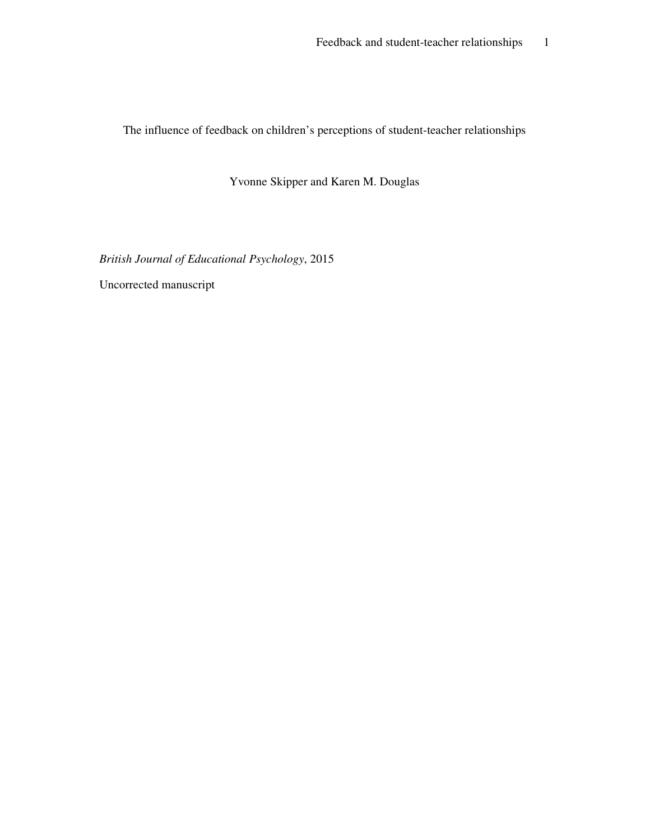The influence of feedback on children's perceptions of student-teacher relationships

Yvonne Skipper and Karen M. Douglas

*British Journal of Educational Psychology*, 2015

Uncorrected manuscript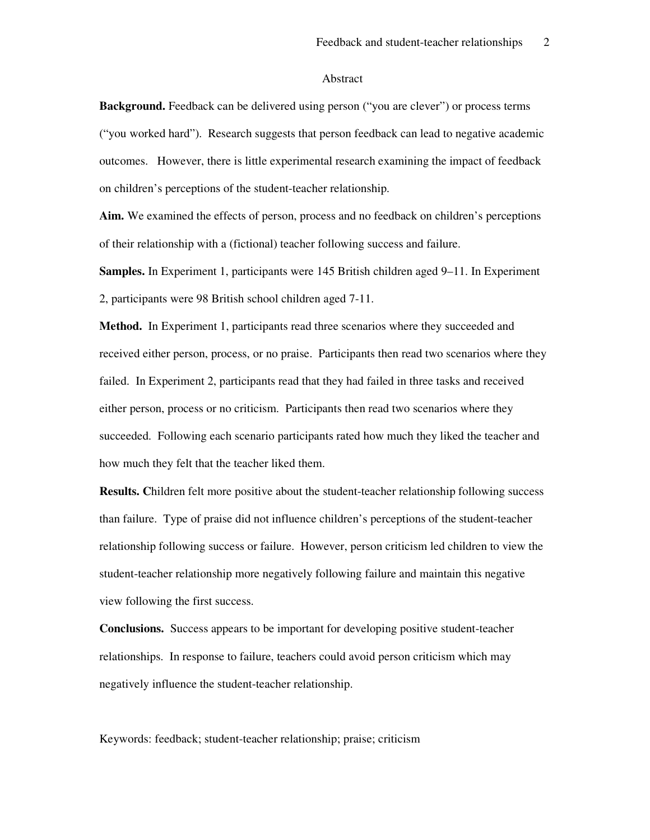#### Abstract

**Background.** Feedback can be delivered using person ("you are clever") or process terms ("you worked hard"). Research suggests that person feedback can lead to negative academic outcomes. However, there is little experimental research examining the impact of feedback on children's perceptions of the student-teacher relationship.

**Aim.** We examined the effects of person, process and no feedback on children's perceptions of their relationship with a (fictional) teacher following success and failure.

**Samples.** In Experiment 1, participants were 145 British children aged 9–11. In Experiment 2, participants were 98 British school children aged 7-11.

**Method.** In Experiment 1, participants read three scenarios where they succeeded and received either person, process, or no praise. Participants then read two scenarios where they failed. In Experiment 2, participants read that they had failed in three tasks and received either person, process or no criticism. Participants then read two scenarios where they succeeded. Following each scenario participants rated how much they liked the teacher and how much they felt that the teacher liked them.

**Results. C**hildren felt more positive about the student-teacher relationship following success than failure. Type of praise did not influence children's perceptions of the student-teacher relationship following success or failure. However, person criticism led children to view the student-teacher relationship more negatively following failure and maintain this negative view following the first success.

**Conclusions.** Success appears to be important for developing positive student-teacher relationships. In response to failure, teachers could avoid person criticism which may negatively influence the student-teacher relationship.

Keywords: feedback; student-teacher relationship; praise; criticism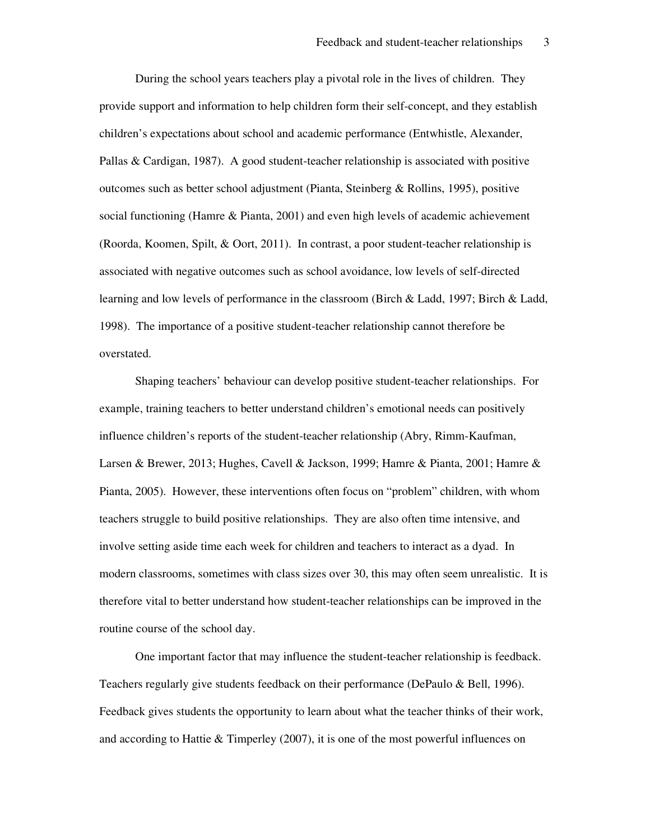During the school years teachers play a pivotal role in the lives of children. They provide support and information to help children form their self-concept, and they establish children's expectations about school and academic performance (Entwhistle, Alexander, Pallas & Cardigan, 1987). A good student-teacher relationship is associated with positive outcomes such as better school adjustment (Pianta, Steinberg & Rollins, 1995), positive social functioning (Hamre & Pianta, 2001) and even high levels of academic achievement (Roorda, Koomen, Spilt, & Oort, 2011). In contrast, a poor student-teacher relationship is associated with negative outcomes such as school avoidance, low levels of self-directed learning and low levels of performance in the classroom (Birch & Ladd, 1997; Birch & Ladd, 1998). The importance of a positive student-teacher relationship cannot therefore be overstated.

Shaping teachers' behaviour can develop positive student-teacher relationships. For example, training teachers to better understand children's emotional needs can positively influence children's reports of the student-teacher relationship (Abry, Rimm-Kaufman, Larsen & Brewer, 2013; Hughes, Cavell & Jackson, 1999; Hamre & Pianta, 2001; Hamre & Pianta, 2005). However, these interventions often focus on "problem" children, with whom teachers struggle to build positive relationships. They are also often time intensive, and involve setting aside time each week for children and teachers to interact as a dyad. In modern classrooms, sometimes with class sizes over 30, this may often seem unrealistic. It is therefore vital to better understand how student-teacher relationships can be improved in the routine course of the school day.

One important factor that may influence the student-teacher relationship is feedback. Teachers regularly give students feedback on their performance (DePaulo & Bell, 1996). Feedback gives students the opportunity to learn about what the teacher thinks of their work, and according to Hattie & Timperley (2007), it is one of the most powerful influences on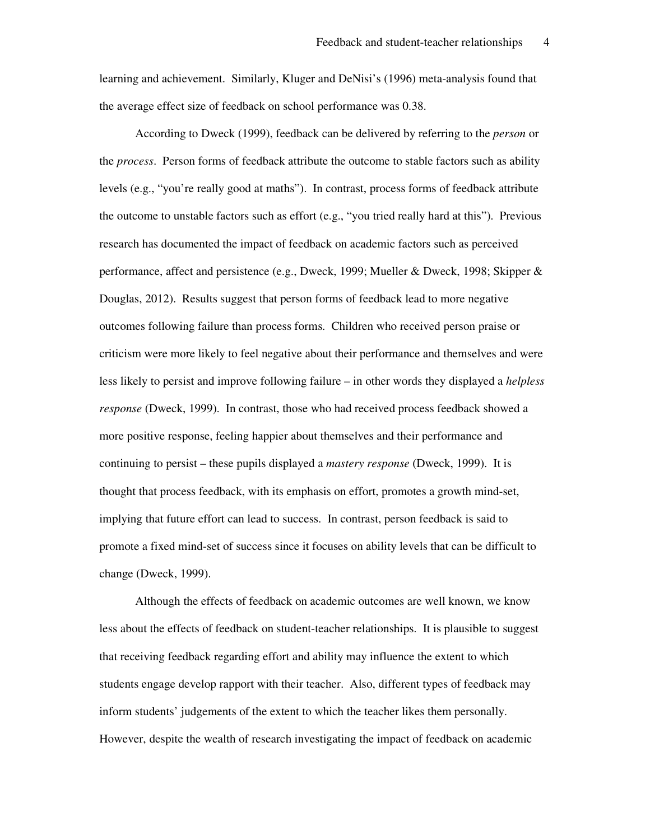learning and achievement. Similarly, Kluger and DeNisi's (1996) meta-analysis found that the average effect size of feedback on school performance was 0.38.

According to Dweck (1999), feedback can be delivered by referring to the *person* or the *process*. Person forms of feedback attribute the outcome to stable factors such as ability levels (e.g., "you're really good at maths"). In contrast, process forms of feedback attribute the outcome to unstable factors such as effort (e.g., "you tried really hard at this"). Previous research has documented the impact of feedback on academic factors such as perceived performance, affect and persistence (e.g., Dweck, 1999; Mueller & Dweck, 1998; Skipper & Douglas, 2012). Results suggest that person forms of feedback lead to more negative outcomes following failure than process forms. Children who received person praise or criticism were more likely to feel negative about their performance and themselves and were less likely to persist and improve following failure – in other words they displayed a *helpless response* (Dweck, 1999). In contrast, those who had received process feedback showed a more positive response, feeling happier about themselves and their performance and continuing to persist – these pupils displayed a *mastery response* (Dweck, 1999). It is thought that process feedback, with its emphasis on effort, promotes a growth mind-set, implying that future effort can lead to success. In contrast, person feedback is said to promote a fixed mind-set of success since it focuses on ability levels that can be difficult to change (Dweck, 1999).

Although the effects of feedback on academic outcomes are well known, we know less about the effects of feedback on student-teacher relationships. It is plausible to suggest that receiving feedback regarding effort and ability may influence the extent to which students engage develop rapport with their teacher. Also, different types of feedback may inform students' judgements of the extent to which the teacher likes them personally. However, despite the wealth of research investigating the impact of feedback on academic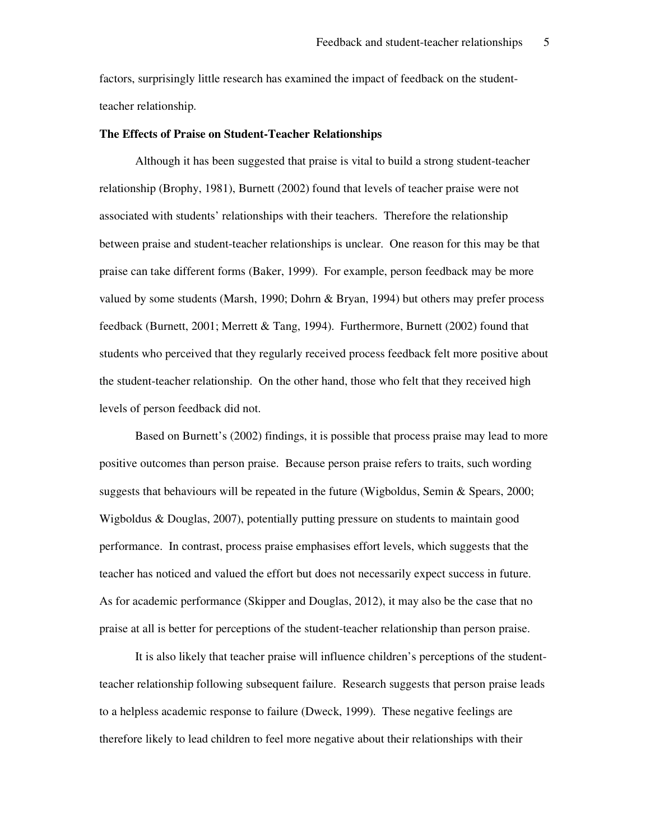factors, surprisingly little research has examined the impact of feedback on the studentteacher relationship.

#### **The Effects of Praise on Student-Teacher Relationships**

Although it has been suggested that praise is vital to build a strong student-teacher relationship (Brophy, 1981), Burnett (2002) found that levels of teacher praise were not associated with students' relationships with their teachers. Therefore the relationship between praise and student-teacher relationships is unclear. One reason for this may be that praise can take different forms (Baker, 1999). For example, person feedback may be more valued by some students (Marsh, 1990; Dohrn & Bryan, 1994) but others may prefer process feedback (Burnett, 2001; Merrett & Tang, 1994). Furthermore, Burnett (2002) found that students who perceived that they regularly received process feedback felt more positive about the student-teacher relationship. On the other hand, those who felt that they received high levels of person feedback did not.

Based on Burnett's (2002) findings, it is possible that process praise may lead to more positive outcomes than person praise. Because person praise refers to traits, such wording suggests that behaviours will be repeated in the future (Wigboldus, Semin & Spears, 2000; Wigboldus & Douglas, 2007), potentially putting pressure on students to maintain good performance. In contrast, process praise emphasises effort levels, which suggests that the teacher has noticed and valued the effort but does not necessarily expect success in future. As for academic performance (Skipper and Douglas, 2012), it may also be the case that no praise at all is better for perceptions of the student-teacher relationship than person praise.

It is also likely that teacher praise will influence children's perceptions of the studentteacher relationship following subsequent failure. Research suggests that person praise leads to a helpless academic response to failure (Dweck, 1999). These negative feelings are therefore likely to lead children to feel more negative about their relationships with their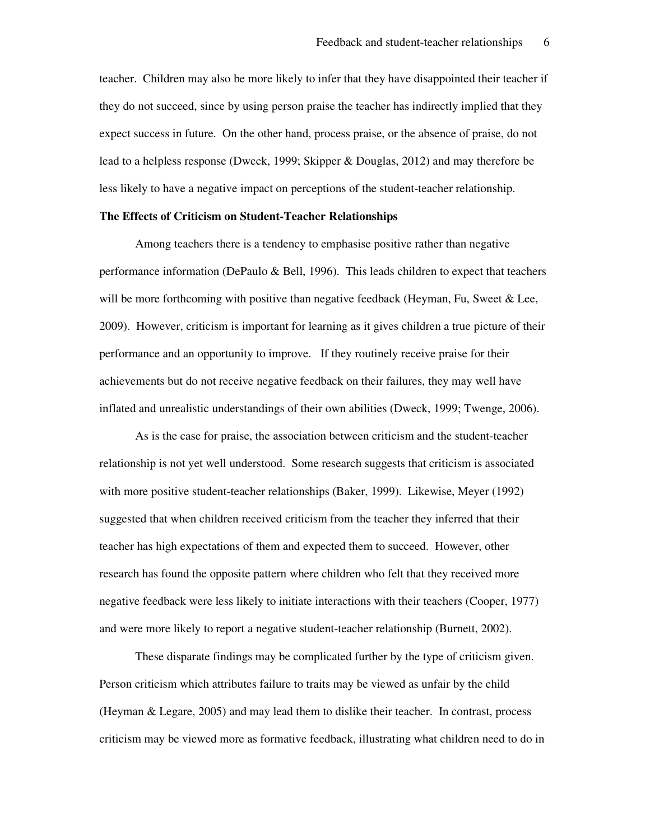teacher. Children may also be more likely to infer that they have disappointed their teacher if they do not succeed, since by using person praise the teacher has indirectly implied that they expect success in future. On the other hand, process praise, or the absence of praise, do not lead to a helpless response (Dweck, 1999; Skipper & Douglas, 2012) and may therefore be less likely to have a negative impact on perceptions of the student-teacher relationship.

#### **The Effects of Criticism on Student-Teacher Relationships**

Among teachers there is a tendency to emphasise positive rather than negative performance information (DePaulo & Bell, 1996). This leads children to expect that teachers will be more forthcoming with positive than negative feedback (Heyman, Fu, Sweet & Lee, 2009). However, criticism is important for learning as it gives children a true picture of their performance and an opportunity to improve. If they routinely receive praise for their achievements but do not receive negative feedback on their failures, they may well have inflated and unrealistic understandings of their own abilities (Dweck, 1999; Twenge, 2006).

As is the case for praise, the association between criticism and the student-teacher relationship is not yet well understood. Some research suggests that criticism is associated with more positive student-teacher relationships (Baker, 1999). Likewise, Meyer (1992) suggested that when children received criticism from the teacher they inferred that their teacher has high expectations of them and expected them to succeed. However, other research has found the opposite pattern where children who felt that they received more negative feedback were less likely to initiate interactions with their teachers (Cooper, 1977) and were more likely to report a negative student-teacher relationship (Burnett, 2002).

These disparate findings may be complicated further by the type of criticism given. Person criticism which attributes failure to traits may be viewed as unfair by the child (Heyman & Legare, 2005) and may lead them to dislike their teacher. In contrast, process criticism may be viewed more as formative feedback, illustrating what children need to do in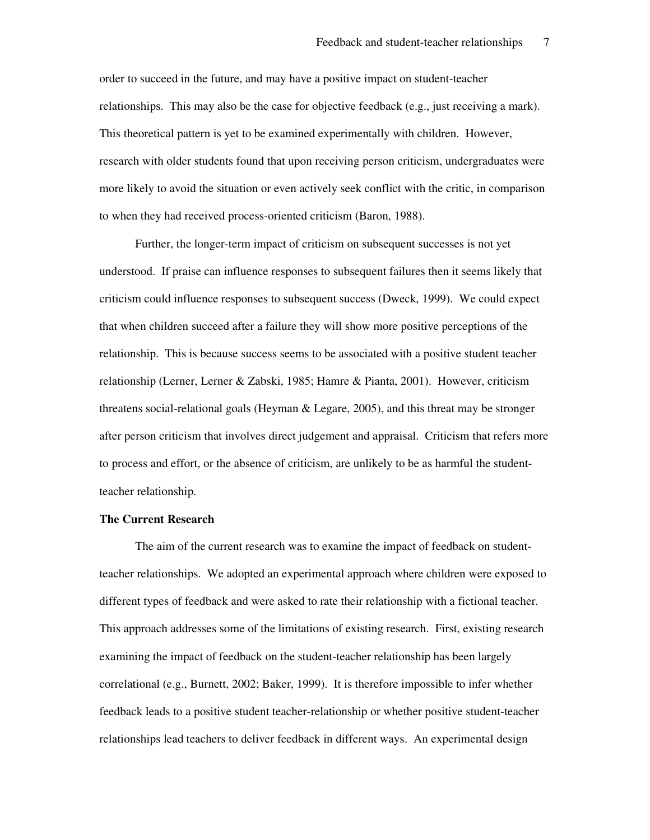order to succeed in the future, and may have a positive impact on student-teacher relationships. This may also be the case for objective feedback (e.g., just receiving a mark). This theoretical pattern is yet to be examined experimentally with children. However, research with older students found that upon receiving person criticism, undergraduates were more likely to avoid the situation or even actively seek conflict with the critic, in comparison to when they had received process-oriented criticism (Baron, 1988).

Further, the longer-term impact of criticism on subsequent successes is not yet understood. If praise can influence responses to subsequent failures then it seems likely that criticism could influence responses to subsequent success (Dweck, 1999). We could expect that when children succeed after a failure they will show more positive perceptions of the relationship. This is because success seems to be associated with a positive student teacher relationship (Lerner, Lerner & Zabski, 1985; Hamre & Pianta, 2001). However, criticism threatens social-relational goals (Heyman & Legare, 2005), and this threat may be stronger after person criticism that involves direct judgement and appraisal. Criticism that refers more to process and effort, or the absence of criticism, are unlikely to be as harmful the studentteacher relationship.

#### **The Current Research**

The aim of the current research was to examine the impact of feedback on studentteacher relationships. We adopted an experimental approach where children were exposed to different types of feedback and were asked to rate their relationship with a fictional teacher. This approach addresses some of the limitations of existing research. First, existing research examining the impact of feedback on the student-teacher relationship has been largely correlational (e.g., Burnett, 2002; Baker, 1999). It is therefore impossible to infer whether feedback leads to a positive student teacher-relationship or whether positive student-teacher relationships lead teachers to deliver feedback in different ways. An experimental design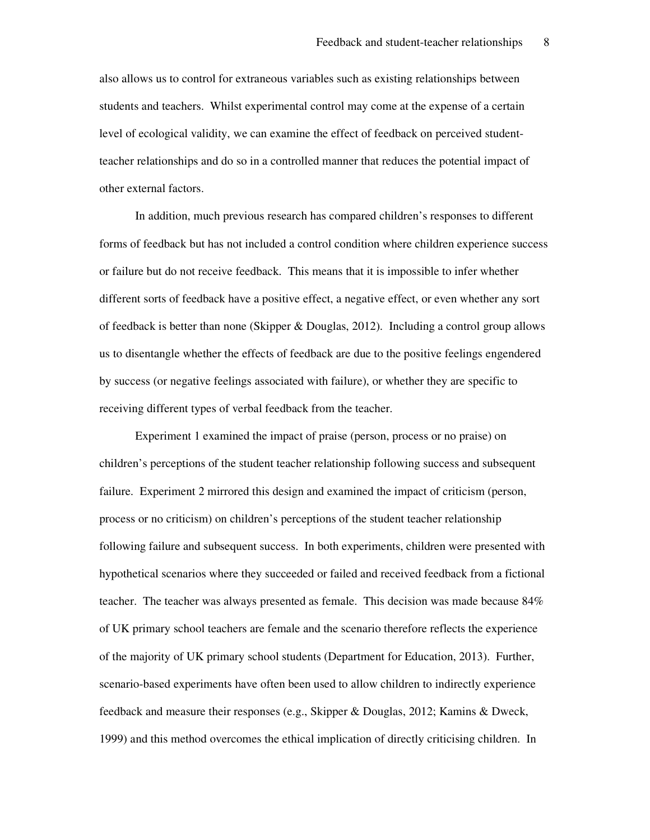also allows us to control for extraneous variables such as existing relationships between students and teachers. Whilst experimental control may come at the expense of a certain level of ecological validity, we can examine the effect of feedback on perceived studentteacher relationships and do so in a controlled manner that reduces the potential impact of other external factors.

In addition, much previous research has compared children's responses to different forms of feedback but has not included a control condition where children experience success or failure but do not receive feedback. This means that it is impossible to infer whether different sorts of feedback have a positive effect, a negative effect, or even whether any sort of feedback is better than none (Skipper & Douglas, 2012). Including a control group allows us to disentangle whether the effects of feedback are due to the positive feelings engendered by success (or negative feelings associated with failure), or whether they are specific to receiving different types of verbal feedback from the teacher.

Experiment 1 examined the impact of praise (person, process or no praise) on children's perceptions of the student teacher relationship following success and subsequent failure. Experiment 2 mirrored this design and examined the impact of criticism (person, process or no criticism) on children's perceptions of the student teacher relationship following failure and subsequent success. In both experiments, children were presented with hypothetical scenarios where they succeeded or failed and received feedback from a fictional teacher. The teacher was always presented as female. This decision was made because 84% of UK primary school teachers are female and the scenario therefore reflects the experience of the majority of UK primary school students (Department for Education, 2013). Further, scenario-based experiments have often been used to allow children to indirectly experience feedback and measure their responses (e.g., Skipper & Douglas, 2012; Kamins & Dweck, 1999) and this method overcomes the ethical implication of directly criticising children. In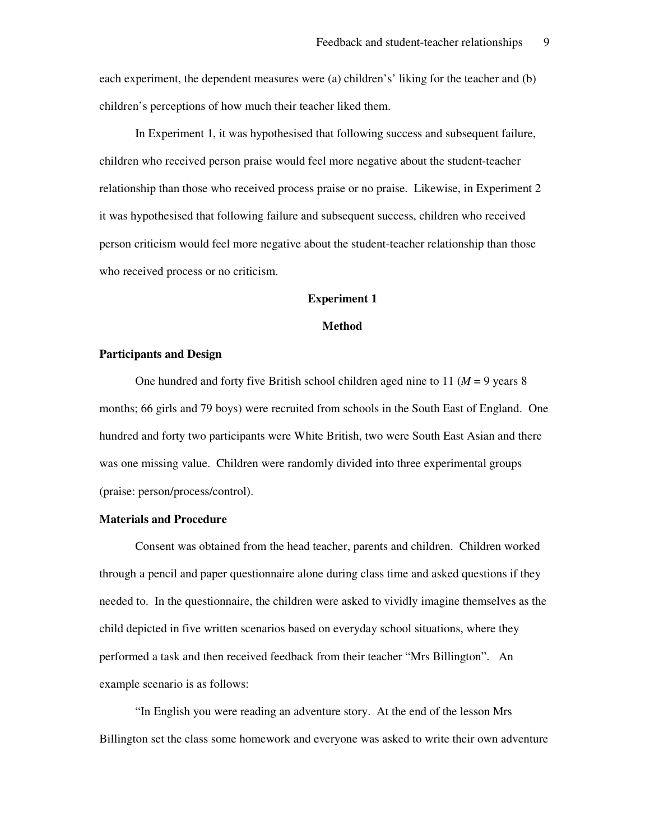each experiment, the dependent measures were (a) children's' liking for the teacher and (b) children's perceptions of how much their teacher liked them.

In Experiment 1, it was hypothesised that following success and subsequent failure, children who received person praise would feel more negative about the student-teacher relationship than those who received process praise or no praise. Likewise, in Experiment 2 it was hypothesised that following failure and subsequent success, children who received person criticism would feel more negative about the student-teacher relationship than those who received process or no criticism.

#### **Experiment 1**

#### **Method**

#### **Participants and Design**

One hundred and forty five British school children aged nine to 11 ( $M = 9$  years 8) months; 66 girls and 79 boys) were recruited from schools in the South East of England. One hundred and forty two participants were White British, two were South East Asian and there was one missing value. Children were randomly divided into three experimental groups (praise: person/process/control).

#### **Materials and Procedure**

Consent was obtained from the head teacher, parents and children. Children worked through a pencil and paper questionnaire alone during class time and asked questions if they needed to. In the questionnaire, the children were asked to vividly imagine themselves as the child depicted in five written scenarios based on everyday school situations, where they performed a task and then received feedback from their teacher "Mrs Billington". An example scenario is as follows:

"In English you were reading an adventure story. At the end of the lesson Mrs Billington set the class some homework and everyone was asked to write their own adventure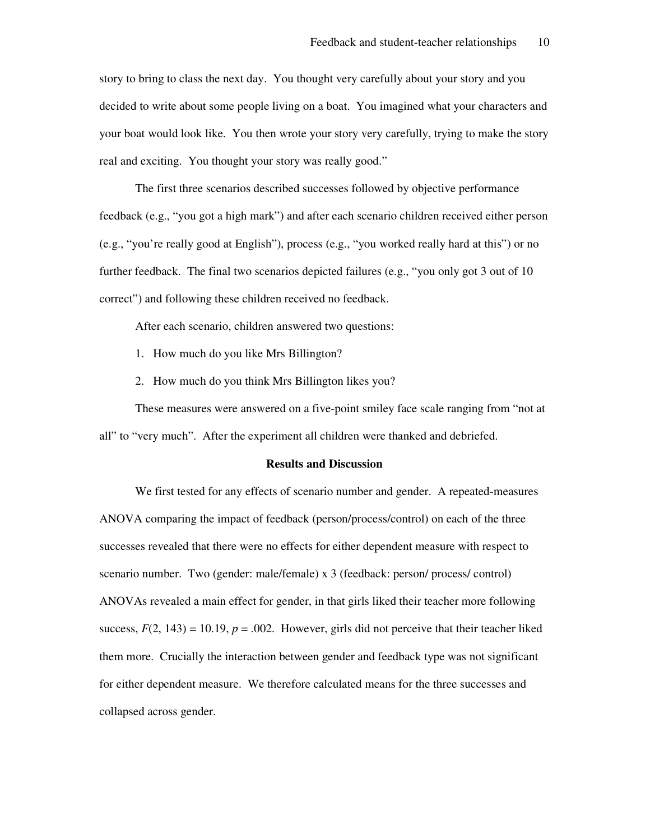story to bring to class the next day. You thought very carefully about your story and you decided to write about some people living on a boat. You imagined what your characters and your boat would look like. You then wrote your story very carefully, trying to make the story real and exciting. You thought your story was really good."

The first three scenarios described successes followed by objective performance feedback (e.g., "you got a high mark") and after each scenario children received either person (e.g., "you're really good at English"), process (e.g., "you worked really hard at this") or no further feedback. The final two scenarios depicted failures (e.g., "you only got 3 out of 10 correct") and following these children received no feedback.

After each scenario, children answered two questions:

- 1. How much do you like Mrs Billington?
- 2. How much do you think Mrs Billington likes you?

These measures were answered on a five-point smiley face scale ranging from "not at all" to "very much". After the experiment all children were thanked and debriefed.

#### **Results and Discussion**

We first tested for any effects of scenario number and gender. A repeated-measures ANOVA comparing the impact of feedback (person/process/control) on each of the three successes revealed that there were no effects for either dependent measure with respect to scenario number. Two (gender: male/female) x 3 (feedback: person/ process/ control) ANOVAs revealed a main effect for gender, in that girls liked their teacher more following success,  $F(2, 143) = 10.19$ ,  $p = .002$ . However, girls did not perceive that their teacher liked them more. Crucially the interaction between gender and feedback type was not significant for either dependent measure. We therefore calculated means for the three successes and collapsed across gender.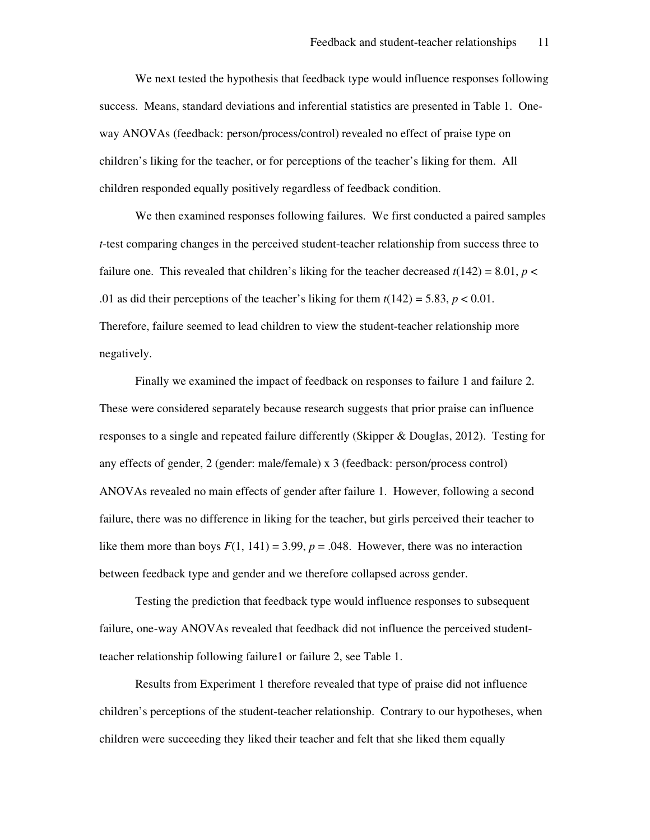We next tested the hypothesis that feedback type would influence responses following success. Means, standard deviations and inferential statistics are presented in Table 1. Oneway ANOVAs (feedback: person/process/control) revealed no effect of praise type on children's liking for the teacher, or for perceptions of the teacher's liking for them. All children responded equally positively regardless of feedback condition.

We then examined responses following failures. We first conducted a paired samples *t*-test comparing changes in the perceived student-teacher relationship from success three to failure one. This revealed that children's liking for the teacher decreased  $t(142) = 8.01$ ,  $p <$ .01 as did their perceptions of the teacher's liking for them  $t(142) = 5.83$ ,  $p < 0.01$ . Therefore, failure seemed to lead children to view the student-teacher relationship more negatively.

Finally we examined the impact of feedback on responses to failure 1 and failure 2. These were considered separately because research suggests that prior praise can influence responses to a single and repeated failure differently (Skipper & Douglas, 2012). Testing for any effects of gender, 2 (gender: male/female) x 3 (feedback: person/process control) ANOVAs revealed no main effects of gender after failure 1. However, following a second failure, there was no difference in liking for the teacher, but girls perceived their teacher to like them more than boys  $F(1, 141) = 3.99$ ,  $p = .048$ . However, there was no interaction between feedback type and gender and we therefore collapsed across gender.

Testing the prediction that feedback type would influence responses to subsequent failure, one-way ANOVAs revealed that feedback did not influence the perceived studentteacher relationship following failure1 or failure 2, see Table 1.

Results from Experiment 1 therefore revealed that type of praise did not influence children's perceptions of the student-teacher relationship. Contrary to our hypotheses, when children were succeeding they liked their teacher and felt that she liked them equally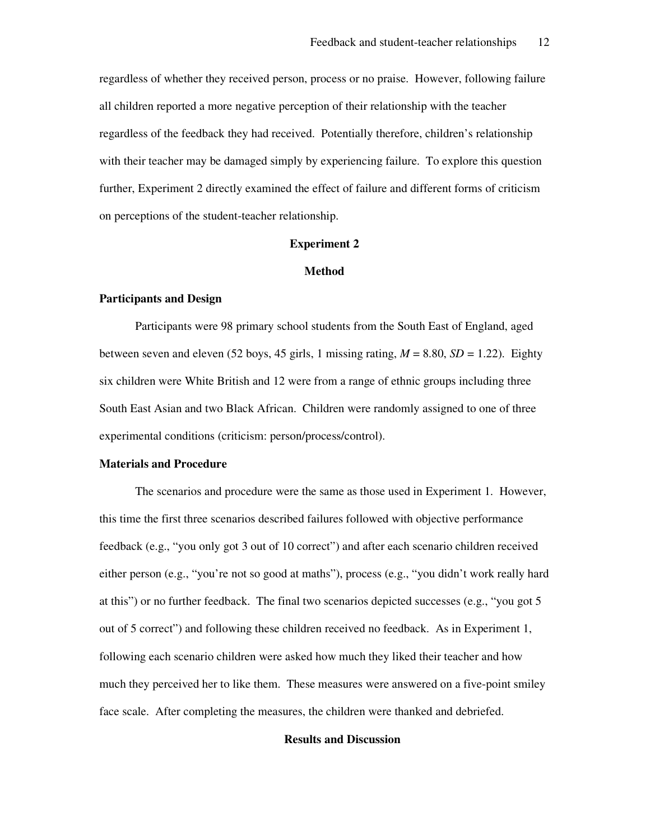regardless of whether they received person, process or no praise. However, following failure all children reported a more negative perception of their relationship with the teacher regardless of the feedback they had received. Potentially therefore, children's relationship with their teacher may be damaged simply by experiencing failure. To explore this question further, Experiment 2 directly examined the effect of failure and different forms of criticism on perceptions of the student-teacher relationship.

#### **Experiment 2**

#### **Method**

#### **Participants and Design**

Participants were 98 primary school students from the South East of England, aged between seven and eleven (52 boys, 45 girls, 1 missing rating,  $M = 8.80$ ,  $SD = 1.22$ ). Eighty six children were White British and 12 were from a range of ethnic groups including three South East Asian and two Black African. Children were randomly assigned to one of three experimental conditions (criticism: person/process/control).

#### **Materials and Procedure**

The scenarios and procedure were the same as those used in Experiment 1. However, this time the first three scenarios described failures followed with objective performance feedback (e.g., "you only got 3 out of 10 correct") and after each scenario children received either person (e.g., "you're not so good at maths"), process (e.g., "you didn't work really hard at this") or no further feedback. The final two scenarios depicted successes (e.g., "you got 5 out of 5 correct") and following these children received no feedback. As in Experiment 1, following each scenario children were asked how much they liked their teacher and how much they perceived her to like them. These measures were answered on a five-point smiley face scale. After completing the measures, the children were thanked and debriefed.

#### **Results and Discussion**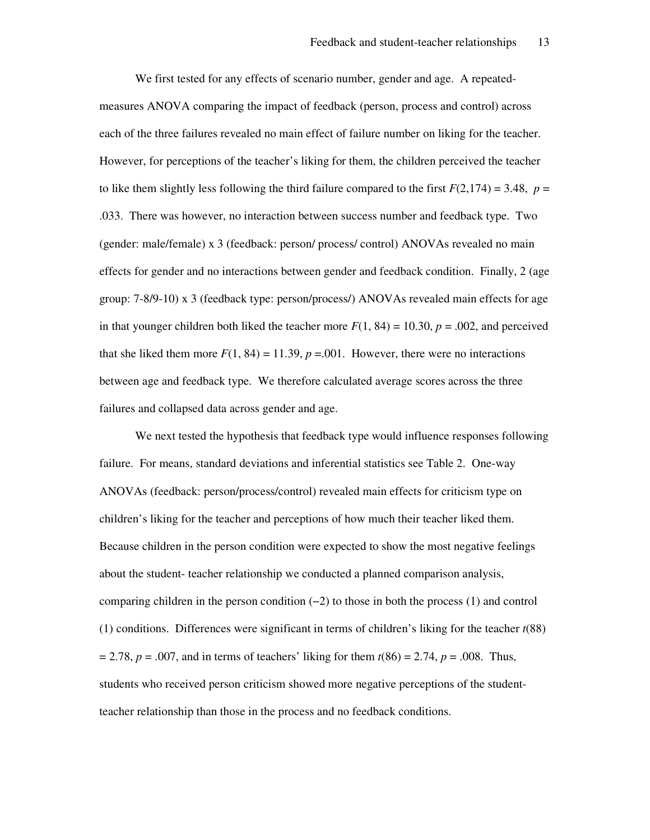We first tested for any effects of scenario number, gender and age. A repeatedmeasures ANOVA comparing the impact of feedback (person, process and control) across each of the three failures revealed no main effect of failure number on liking for the teacher. However, for perceptions of the teacher's liking for them, the children perceived the teacher to like them slightly less following the third failure compared to the first  $F(2,174) = 3.48$ ,  $p =$ .033. There was however, no interaction between success number and feedback type. Two (gender: male/female) x 3 (feedback: person/ process/ control) ANOVAs revealed no main effects for gender and no interactions between gender and feedback condition. Finally, 2 (age group: 7-8/9-10) x 3 (feedback type: person/process/) ANOVAs revealed main effects for age in that younger children both liked the teacher more  $F(1, 84) = 10.30$ ,  $p = .002$ , and perceived that she liked them more  $F(1, 84) = 11.39$ ,  $p = .001$ . However, there were no interactions between age and feedback type. We therefore calculated average scores across the three failures and collapsed data across gender and age.

We next tested the hypothesis that feedback type would influence responses following failure. For means, standard deviations and inferential statistics see Table 2. One-way ANOVAs (feedback: person/process/control) revealed main effects for criticism type on children's liking for the teacher and perceptions of how much their teacher liked them. Because children in the person condition were expected to show the most negative feelings about the student- teacher relationship we conducted a planned comparison analysis, comparing children in the person condition (−2) to those in both the process (1) and control (1) conditions. Differences were significant in terms of children's liking for the teacher *t*(88) = 2.78, *p* = .007, and in terms of teachers' liking for them *t*(86) = 2.74, *p* = .008. Thus, students who received person criticism showed more negative perceptions of the studentteacher relationship than those in the process and no feedback conditions.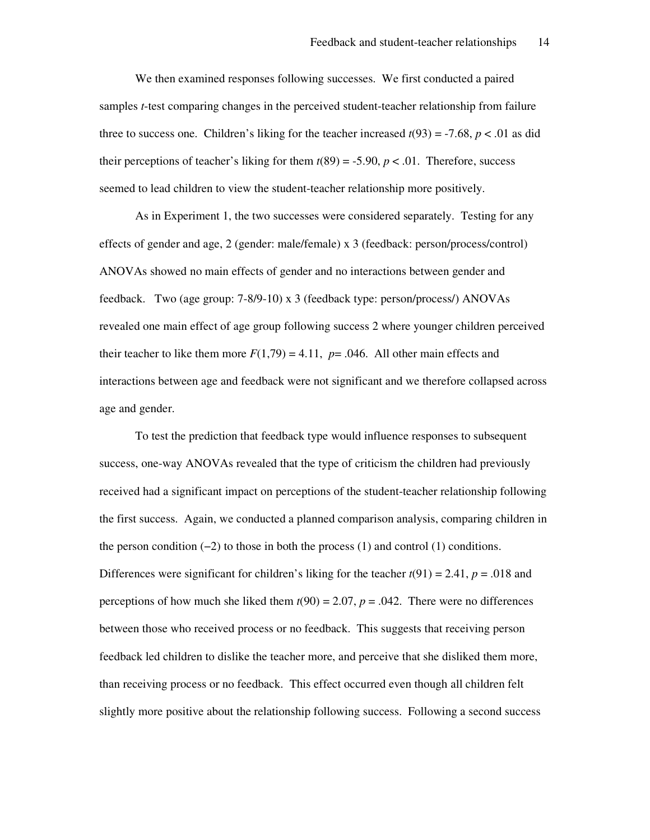We then examined responses following successes. We first conducted a paired samples *t*-test comparing changes in the perceived student-teacher relationship from failure three to success one. Children's liking for the teacher increased  $t(93) = -7.68$ ,  $p < .01$  as did their perceptions of teacher's liking for them  $t(89) = -5.90$ ,  $p < .01$ . Therefore, success seemed to lead children to view the student-teacher relationship more positively.

As in Experiment 1, the two successes were considered separately. Testing for any effects of gender and age, 2 (gender: male/female) x 3 (feedback: person/process/control) ANOVAs showed no main effects of gender and no interactions between gender and feedback. Two (age group: 7-8/9-10) x 3 (feedback type: person/process/) ANOVAs revealed one main effect of age group following success 2 where younger children perceived their teacher to like them more  $F(1,79) = 4.11$ ,  $p = .046$ . All other main effects and interactions between age and feedback were not significant and we therefore collapsed across age and gender.

To test the prediction that feedback type would influence responses to subsequent success, one-way ANOVAs revealed that the type of criticism the children had previously received had a significant impact on perceptions of the student-teacher relationship following the first success. Again, we conducted a planned comparison analysis, comparing children in the person condition  $(-2)$  to those in both the process  $(1)$  and control  $(1)$  conditions. Differences were significant for children's liking for the teacher  $t(91) = 2.41$ ,  $p = .018$  and perceptions of how much she liked them  $t(90) = 2.07$ ,  $p = .042$ . There were no differences between those who received process or no feedback. This suggests that receiving person feedback led children to dislike the teacher more, and perceive that she disliked them more, than receiving process or no feedback. This effect occurred even though all children felt slightly more positive about the relationship following success. Following a second success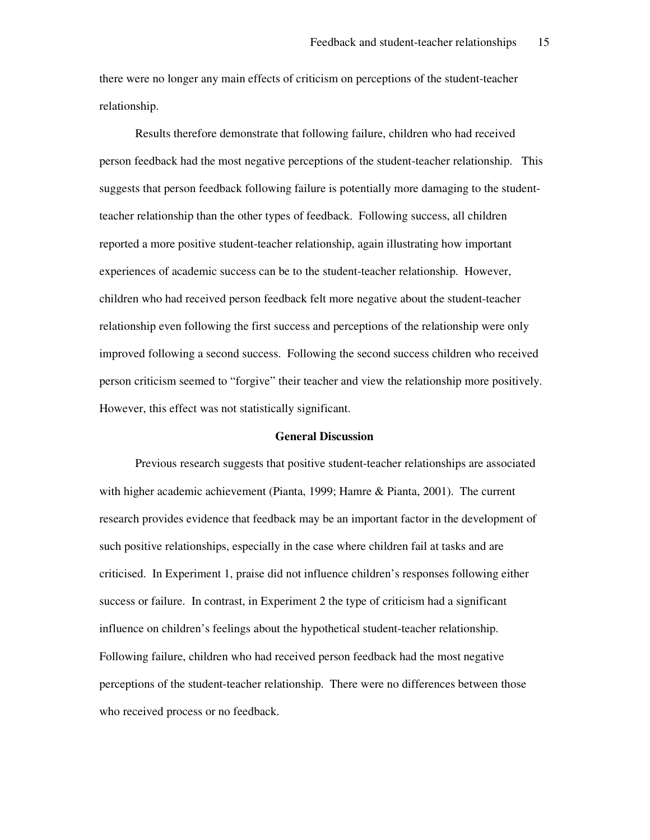there were no longer any main effects of criticism on perceptions of the student-teacher relationship.

Results therefore demonstrate that following failure, children who had received person feedback had the most negative perceptions of the student-teacher relationship. This suggests that person feedback following failure is potentially more damaging to the studentteacher relationship than the other types of feedback. Following success, all children reported a more positive student-teacher relationship, again illustrating how important experiences of academic success can be to the student-teacher relationship. However, children who had received person feedback felt more negative about the student-teacher relationship even following the first success and perceptions of the relationship were only improved following a second success. Following the second success children who received person criticism seemed to "forgive" their teacher and view the relationship more positively. However, this effect was not statistically significant.

#### **General Discussion**

Previous research suggests that positive student-teacher relationships are associated with higher academic achievement (Pianta, 1999; Hamre & Pianta, 2001). The current research provides evidence that feedback may be an important factor in the development of such positive relationships, especially in the case where children fail at tasks and are criticised. In Experiment 1, praise did not influence children's responses following either success or failure. In contrast, in Experiment 2 the type of criticism had a significant influence on children's feelings about the hypothetical student-teacher relationship. Following failure, children who had received person feedback had the most negative perceptions of the student-teacher relationship. There were no differences between those who received process or no feedback.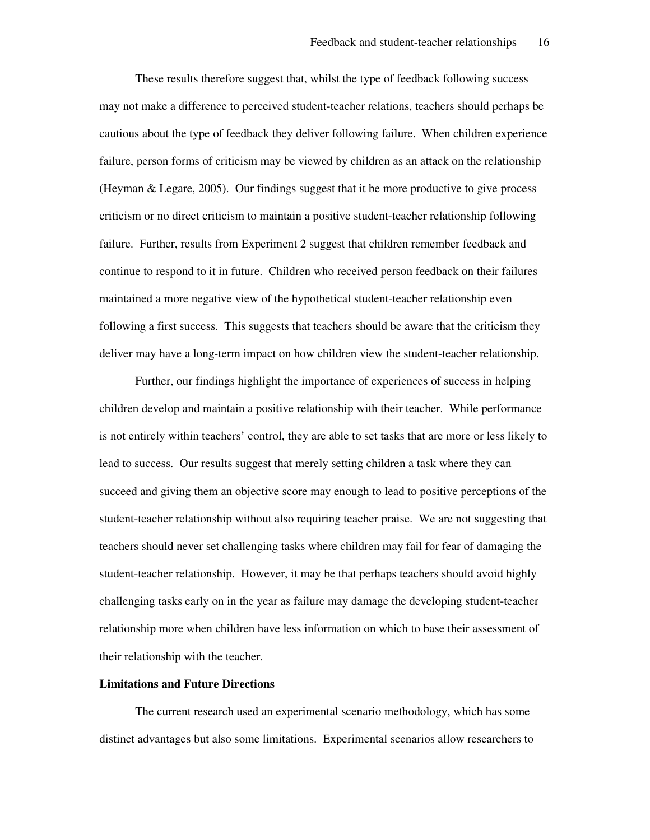These results therefore suggest that, whilst the type of feedback following success may not make a difference to perceived student-teacher relations, teachers should perhaps be cautious about the type of feedback they deliver following failure. When children experience failure, person forms of criticism may be viewed by children as an attack on the relationship (Heyman & Legare, 2005). Our findings suggest that it be more productive to give process criticism or no direct criticism to maintain a positive student-teacher relationship following failure. Further, results from Experiment 2 suggest that children remember feedback and continue to respond to it in future. Children who received person feedback on their failures maintained a more negative view of the hypothetical student-teacher relationship even following a first success. This suggests that teachers should be aware that the criticism they deliver may have a long-term impact on how children view the student-teacher relationship.

Further, our findings highlight the importance of experiences of success in helping children develop and maintain a positive relationship with their teacher. While performance is not entirely within teachers' control, they are able to set tasks that are more or less likely to lead to success. Our results suggest that merely setting children a task where they can succeed and giving them an objective score may enough to lead to positive perceptions of the student-teacher relationship without also requiring teacher praise. We are not suggesting that teachers should never set challenging tasks where children may fail for fear of damaging the student-teacher relationship. However, it may be that perhaps teachers should avoid highly challenging tasks early on in the year as failure may damage the developing student-teacher relationship more when children have less information on which to base their assessment of their relationship with the teacher.

#### **Limitations and Future Directions**

The current research used an experimental scenario methodology, which has some distinct advantages but also some limitations. Experimental scenarios allow researchers to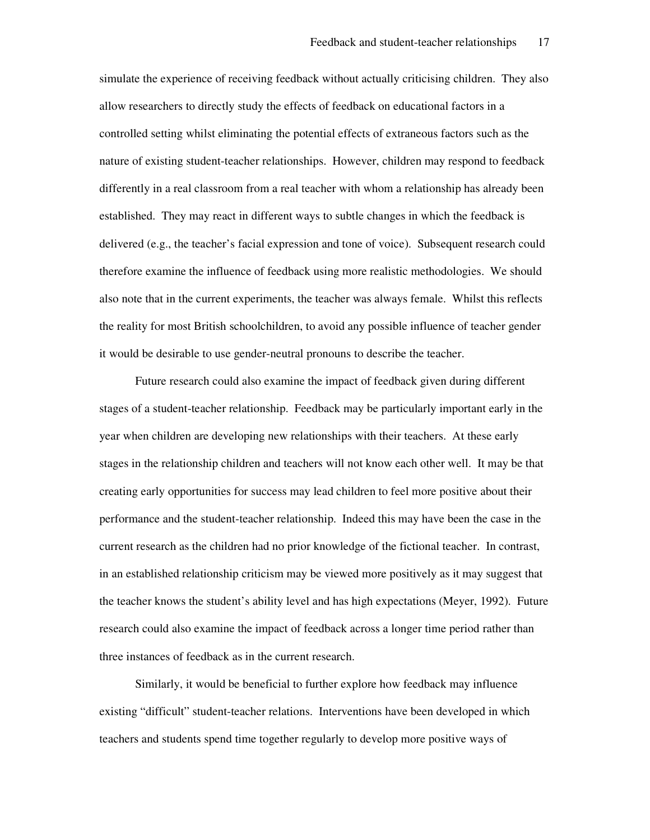simulate the experience of receiving feedback without actually criticising children. They also allow researchers to directly study the effects of feedback on educational factors in a controlled setting whilst eliminating the potential effects of extraneous factors such as the nature of existing student-teacher relationships. However, children may respond to feedback differently in a real classroom from a real teacher with whom a relationship has already been established. They may react in different ways to subtle changes in which the feedback is delivered (e.g., the teacher's facial expression and tone of voice). Subsequent research could therefore examine the influence of feedback using more realistic methodologies. We should also note that in the current experiments, the teacher was always female. Whilst this reflects the reality for most British schoolchildren, to avoid any possible influence of teacher gender it would be desirable to use gender-neutral pronouns to describe the teacher.

Future research could also examine the impact of feedback given during different stages of a student-teacher relationship. Feedback may be particularly important early in the year when children are developing new relationships with their teachers. At these early stages in the relationship children and teachers will not know each other well. It may be that creating early opportunities for success may lead children to feel more positive about their performance and the student-teacher relationship. Indeed this may have been the case in the current research as the children had no prior knowledge of the fictional teacher. In contrast, in an established relationship criticism may be viewed more positively as it may suggest that the teacher knows the student's ability level and has high expectations (Meyer, 1992). Future research could also examine the impact of feedback across a longer time period rather than three instances of feedback as in the current research.

Similarly, it would be beneficial to further explore how feedback may influence existing "difficult" student-teacher relations. Interventions have been developed in which teachers and students spend time together regularly to develop more positive ways of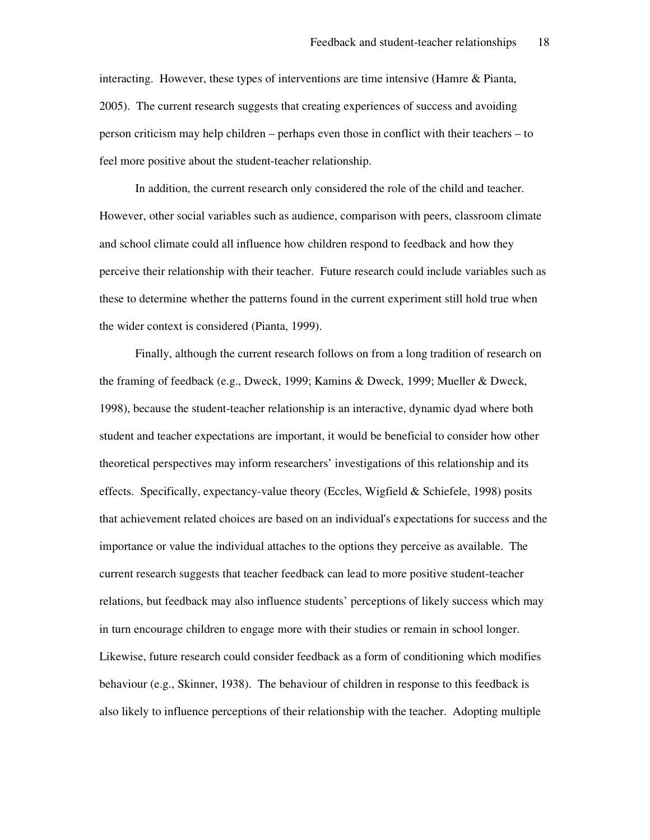interacting. However, these types of interventions are time intensive (Hamre & Pianta, 2005). The current research suggests that creating experiences of success and avoiding person criticism may help children – perhaps even those in conflict with their teachers – to feel more positive about the student-teacher relationship.

In addition, the current research only considered the role of the child and teacher. However, other social variables such as audience, comparison with peers, classroom climate and school climate could all influence how children respond to feedback and how they perceive their relationship with their teacher. Future research could include variables such as these to determine whether the patterns found in the current experiment still hold true when the wider context is considered (Pianta, 1999).

Finally, although the current research follows on from a long tradition of research on the framing of feedback (e.g., Dweck, 1999; Kamins & Dweck, 1999; Mueller & Dweck, 1998), because the student-teacher relationship is an interactive, dynamic dyad where both student and teacher expectations are important, it would be beneficial to consider how other theoretical perspectives may inform researchers' investigations of this relationship and its effects. Specifically, expectancy-value theory (Eccles, Wigfield & Schiefele, 1998) posits that achievement related choices are based on an individual's expectations for success and the importance or value the individual attaches to the options they perceive as available. The current research suggests that teacher feedback can lead to more positive student-teacher relations, but feedback may also influence students' perceptions of likely success which may in turn encourage children to engage more with their studies or remain in school longer. Likewise, future research could consider feedback as a form of conditioning which modifies behaviour (e.g., Skinner, 1938). The behaviour of children in response to this feedback is also likely to influence perceptions of their relationship with the teacher. Adopting multiple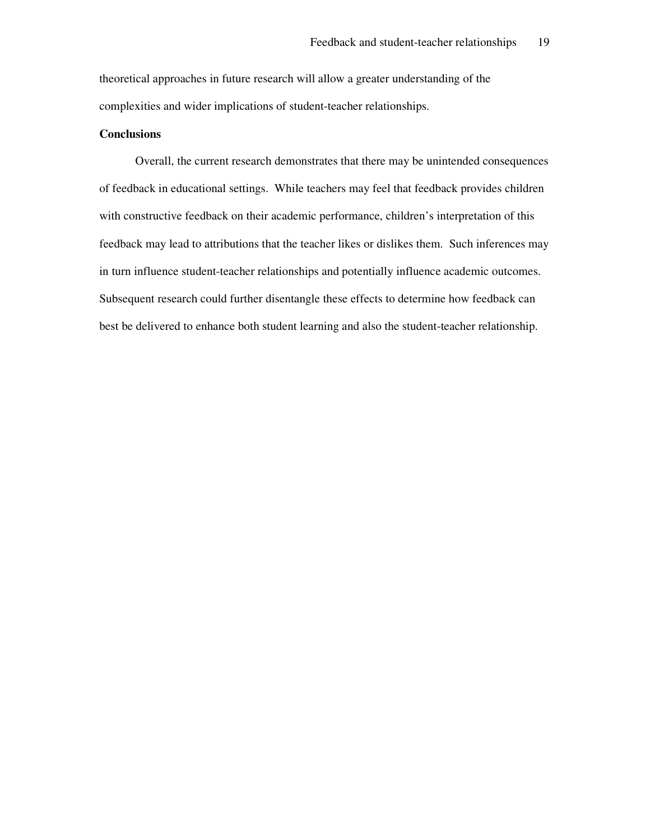theoretical approaches in future research will allow a greater understanding of the complexities and wider implications of student-teacher relationships.

#### **Conclusions**

Overall, the current research demonstrates that there may be unintended consequences of feedback in educational settings. While teachers may feel that feedback provides children with constructive feedback on their academic performance, children's interpretation of this feedback may lead to attributions that the teacher likes or dislikes them. Such inferences may in turn influence student-teacher relationships and potentially influence academic outcomes. Subsequent research could further disentangle these effects to determine how feedback can best be delivered to enhance both student learning and also the student-teacher relationship.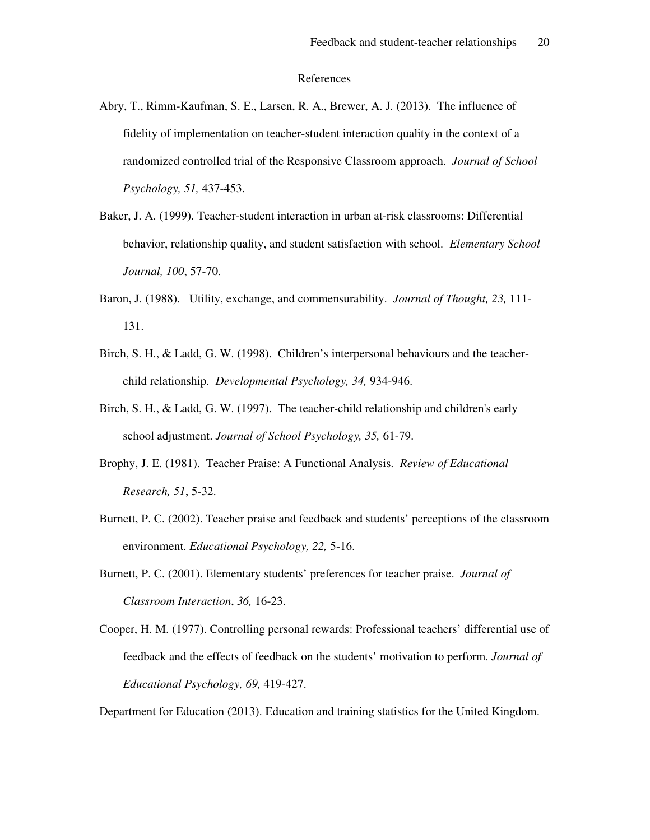#### References

- Abry, T., Rimm-Kaufman, S. E., Larsen, R. A., Brewer, A. J. (2013). The influence of fidelity of implementation on teacher-student interaction quality in the context of a randomized controlled trial of the Responsive Classroom approach. *Journal of School Psychology, 51,* 437-453.
- Baker, J. A. (1999). Teacher-student interaction in urban at-risk classrooms: Differential behavior, relationship quality, and student satisfaction with school. *Elementary School Journal, 100*, 57-70.
- Baron, J. (1988). Utility, exchange, and commensurability. *Journal of Thought, 23,* 111- 131.
- Birch, S. H., & Ladd, G. W. (1998). Children's interpersonal behaviours and the teacherchild relationship. *Developmental Psychology, 34,* 934-946.
- Birch, S. H., & Ladd, G. W. (1997). The teacher-child relationship and children's early school adjustment. *Journal of School Psychology, 35,* 61-79.
- Brophy, J. E. (1981). Teacher Praise: A Functional Analysis. *Review of Educational Research, 51*, 5-32.
- Burnett, P. C. (2002). Teacher praise and feedback and students' perceptions of the classroom environment. *Educational Psychology, 22,* 5-16.
- Burnett, P. C. (2001). Elementary students' preferences for teacher praise. *Journal of Classroom Interaction*, *36,* 16-23.

Department for Education (2013). Education and training statistics for the United Kingdom.

Cooper, H. M. (1977). Controlling personal rewards: Professional teachers' differential use of feedback and the effects of feedback on the students' motivation to perform. *Journal of Educational Psychology, 69,* 419-427.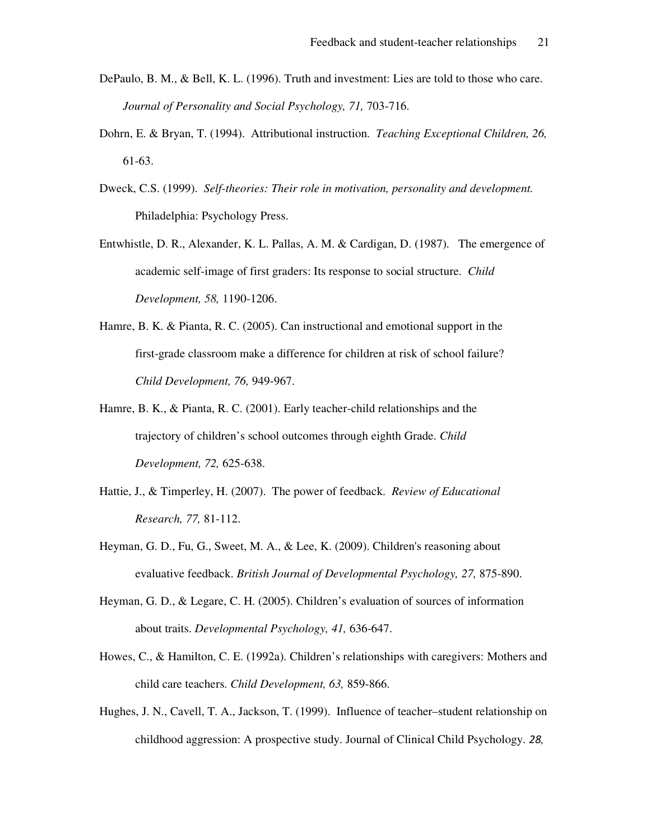- DePaulo, B. M., & Bell, K. L. (1996). Truth and investment: Lies are told to those who care. *Journal of Personality and Social Psychology, 71,* 703-716.
- Dohrn, E. & Bryan, T. (1994). Attributional instruction. *Teaching Exceptional Children, 26,* 61-63.
- Dweck, C.S. (1999). *Self-theories: Their role in motivation, personality and development.*  Philadelphia: Psychology Press.
- Entwhistle, D. R., Alexander, K. L. Pallas, A. M. & Cardigan, D. (1987). The emergence of academic self-image of first graders: Its response to social structure. *Child Development, 58,* 1190-1206.
- Hamre, B. K. & Pianta, R. C. (2005). Can instructional and emotional support in the first-grade classroom make a difference for children at risk of school failure? *Child Development, 76,* 949-967.
- Hamre, B. K., & Pianta, R. C. (2001). Early teacher-child relationships and the trajectory of children's school outcomes through eighth Grade. *Child Development, 72,* 625-638.
- Hattie, J., & Timperley, H. (2007). The power of feedback. *Review of Educational Research, 77,* 81-112.
- Heyman, G. D., Fu, G., Sweet, M. A., & Lee, K. (2009). Children's reasoning about evaluative feedback. *British Journal of Developmental Psychology, 27,* 875-890.
- Heyman, G. D., & Legare, C. H. (2005). Children's evaluation of sources of information about traits. *Developmental Psychology, 41,* 636-647.
- Howes, C., & Hamilton, C. E. (1992a). Children's relationships with caregivers: Mothers and child care teachers. *Child Development, 63,* 859-866.
- Hughes, J. N., Cavell, T. A., Jackson, T. (1999). Influence of teacher–student relationship on childhood aggression: A prospective study. Journal of Clinical Child Psychology. *28,*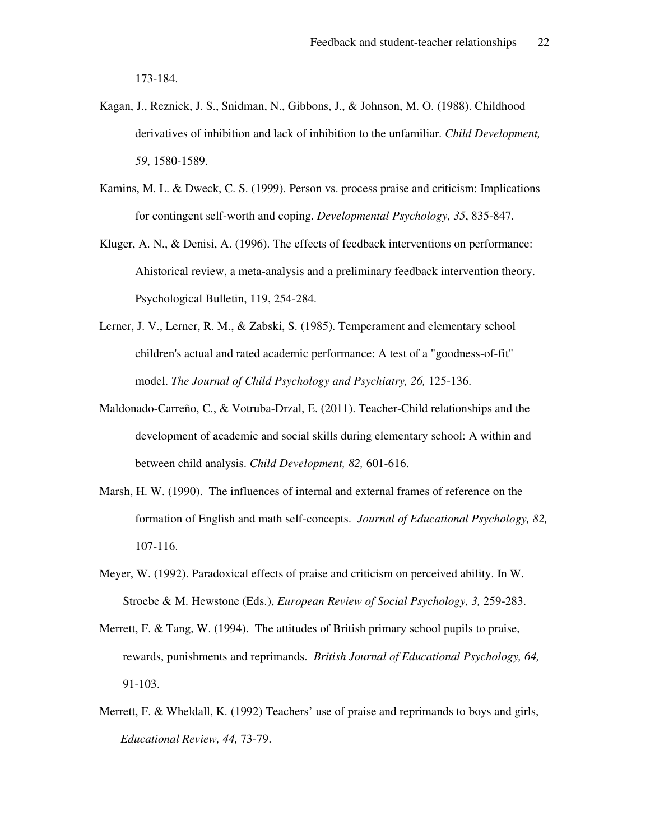173-184.

- Kagan, J., Reznick, J. S., Snidman, N., Gibbons, J., & Johnson, M. O. (1988). Childhood derivatives of inhibition and lack of inhibition to the unfamiliar. *Child Development, 59*, 1580-1589.
- Kamins, M. L. & Dweck, C. S. (1999). Person vs. process praise and criticism: Implications for contingent self-worth and coping. *Developmental Psychology, 35*, 835-847.
- Kluger, A. N., & Denisi, A. (1996). The effects of feedback interventions on performance: Ahistorical review, a meta-analysis and a preliminary feedback intervention theory. Psychological Bulletin, 119, 254-284.
- Lerner, J. V., Lerner, R. M., & Zabski, S. (1985). Temperament and elementary school children's actual and rated academic performance: A test of a "goodness-of-fit" model. *The Journal of Child Psychology and Psychiatry, 26,* 125-136.
- Maldonado-Carreño, C., & Votruba-Drzal, E. (2011). Teacher-Child relationships and the development of academic and social skills during elementary school: A within and between child analysis. *Child Development, 82,* 601-616.
- Marsh, H. W. (1990). The influences of internal and external frames of reference on the formation of English and math self-concepts. *Journal of Educational Psychology, 82,* 107-116.
- Meyer, W. (1992). Paradoxical effects of praise and criticism on perceived ability. In W. Stroebe & M. Hewstone (Eds.), *European Review of Social Psychology, 3,* 259-283.
- Merrett, F. & Tang, W. (1994). The attitudes of British primary school pupils to praise, rewards, punishments and reprimands. *British Journal of Educational Psychology, 64,*  91-103.
- Merrett, F. & Wheldall, K. (1992) Teachers' use of praise and reprimands to boys and girls, *Educational Review, 44,* 73-79.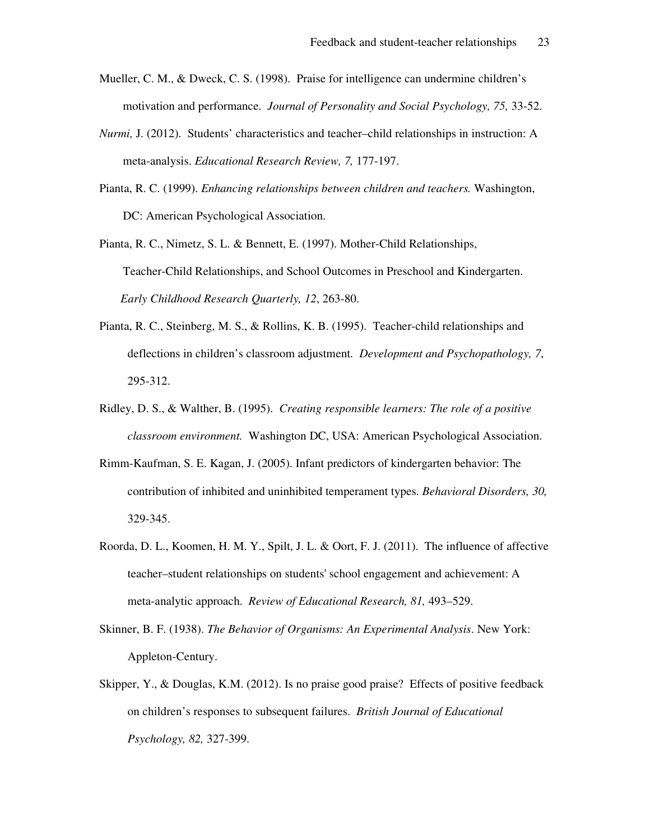- Mueller, C. M., & Dweck, C. S. (1998). Praise for intelligence can undermine children's motivation and performance. *Journal of Personality and Social Psychology, 75,* 33-52.
- *Nurmi,* J. (2012). Students' characteristics and teacher–child relationships in instruction: A meta-analysis. *Educational Research Review, 7,* 177-197.
- Pianta, R. C. (1999). *Enhancing relationships between children and teachers.* Washington, DC: American Psychological Association.
- Pianta, R. C., Nimetz, S. L. & Bennett, E. (1997). Mother-Child Relationships, Teacher-Child Relationships, and School Outcomes in Preschool and Kindergarten. *Early Childhood Research Quarterly, 12*, 263-80.
- Pianta, R. C., Steinberg, M. S., & Rollins, K. B. (1995). Teacher-child relationships and deflections in children's classroom adjustment. *Development and Psychopathology, 7*, 295-312.
- Ridley, D. S., & Walther, B. (1995). *Creating responsible learners: The role of a positive classroom environment.* Washington DC, USA: American Psychological Association.
- Rimm-Kaufman, S. E. Kagan, J. (2005). Infant predictors of kindergarten behavior: The contribution of inhibited and uninhibited temperament types. *Behavioral Disorders, 30,*  329-345.
- Roorda, D. L., Koomen, H. M. Y., Spilt, J. L. & Oort, F. J. (2011). The influence of affective teacher–student relationships on students' school engagement and achievement: A meta-analytic approach. *Review of Educational Research, 81,* 493–529.
- Skinner, B. F. (1938). *The Behavior of Organisms: An Experimental Analysis*. New York: Appleton-Century.
- Skipper, Y., & Douglas, K.M. (2012). Is no praise good praise? Effects of positive feedback on children's responses to subsequent failures. *British Journal of Educational Psychology, 82,* 327-399.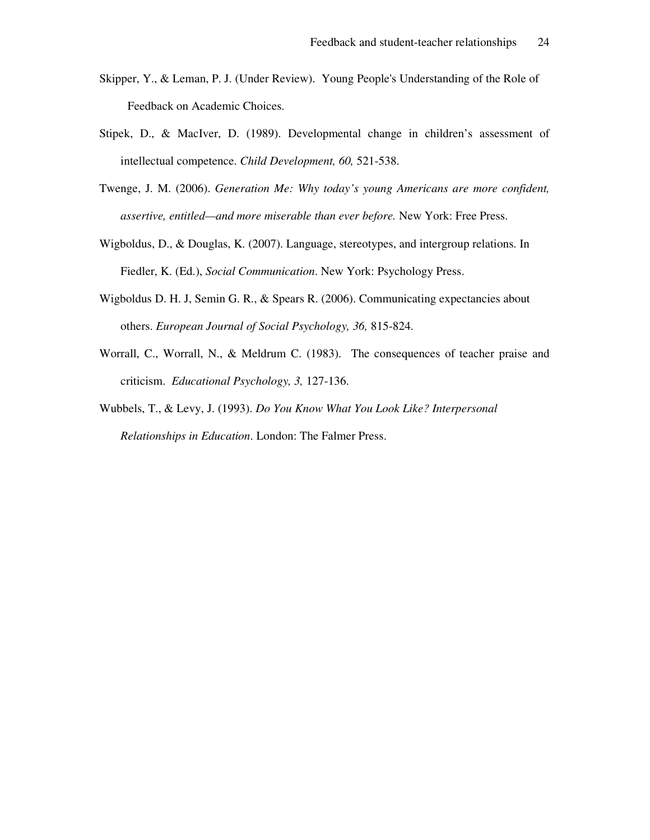- Skipper, Y., & Leman, P. J. (Under Review). Young People's Understanding of the Role of Feedback on Academic Choices.
- Stipek, D., & MacIver, D. (1989). Developmental change in children's assessment of intellectual competence. *Child Development, 60,* 521-538.
- Twenge, J. M. (2006). *Generation Me: Why today's young Americans are more confident, assertive, entitled—and more miserable than ever before.* New York: Free Press.
- Wigboldus, D., & Douglas, K. (2007). Language, stereotypes, and intergroup relations. In Fiedler, K. (Ed.), *Social Communication*. New York: Psychology Press.
- Wigboldus D. H. J, Semin G. R., & Spears R. (2006). Communicating expectancies about others. *European Journal of Social Psychology, 36,* 815-824.
- Worrall, C., Worrall, N., & Meldrum C. (1983). The consequences of teacher praise and criticism. *Educational Psychology, 3,* 127-136.
- Wubbels, T., & Levy, J. (1993). *Do You Know What You Look Like? Interpersonal Relationships in Education*. London: The Falmer Press.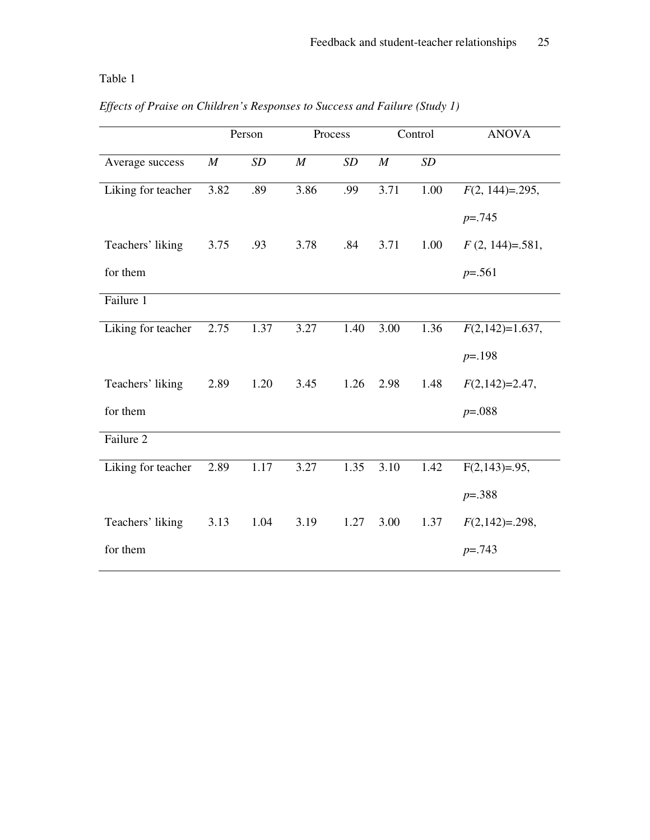#### Table 1

|  |  |  | Effects of Praise on Children's Responses to Success and Failure (Study 1) |  |  |
|--|--|--|----------------------------------------------------------------------------|--|--|
|  |  |  |                                                                            |  |  |

|                    |                  | Person | Process          |      | Control          |      | <b>ANOVA</b>      |  |
|--------------------|------------------|--------|------------------|------|------------------|------|-------------------|--|
| Average success    | $\boldsymbol{M}$ | SD     | $\boldsymbol{M}$ | SD   | $\boldsymbol{M}$ | SD   |                   |  |
| Liking for teacher | 3.82             | .89    | 3.86             | .99  | 3.71             | 1.00 | $F(2, 144)=295$ , |  |
|                    |                  |        |                  |      |                  |      | $p = 0.745$       |  |
| Teachers' liking   | 3.75             | .93    | 3.78             | .84  | 3.71             | 1.00 | $F(2, 144)=.581,$ |  |
| for them           |                  |        |                  |      |                  |      | $p=.561$          |  |
| Failure 1          |                  |        |                  |      |                  |      |                   |  |
| Liking for teacher | 2.75             | 1.37   | 3.27             | 1.40 | 3.00             | 1.36 | $F(2,142)=1.637,$ |  |
|                    |                  |        |                  |      |                  |      | $p = 198$         |  |
| Teachers' liking   | 2.89             | 1.20   | 3.45             | 1.26 | 2.98             | 1.48 | $F(2,142)=2.47$ , |  |
| for them           |                  |        |                  |      |                  |      | $p=.088$          |  |
| Failure 2          |                  |        |                  |      |                  |      |                   |  |
| Liking for teacher | 2.89             | 1.17   | 3.27             | 1.35 | 3.10             | 1.42 | $F(2,143)=.95$ ,  |  |
|                    |                  |        |                  |      |                  |      | $p = 388$         |  |
| Teachers' liking   | 3.13             | 1.04   | 3.19             | 1.27 | 3.00             | 1.37 | $F(2,142)=298,$   |  |
| for them           |                  |        |                  |      |                  |      | $p = 0.743$       |  |